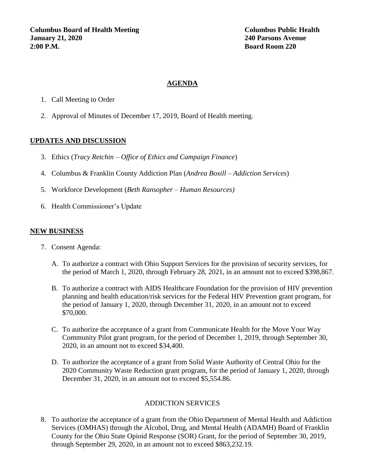## **AGENDA**

- 1. Call Meeting to Order
- 2. Approval of Minutes of December 17, 2019, Board of Health meeting.

## **UPDATES AND DISCUSSION**

- 3. Ethics (*Tracy Retchin – Office of Ethics and Campaign Finance*)
- 4. Columbus & Franklin County Addiction Plan (*Andrea Boxill – Addiction Services*)
- 5. Workforce Development (*Beth Ransopher – Human Resources)*
- 6. Health Commissioner's Update

## **NEW BUSINESS**

- 7. Consent Agenda:
	- A. To authorize a contract with Ohio Support Services for the provision of security services, for the period of March 1, 2020, through February 28, 2021, in an amount not to exceed \$398,867.
	- B. To authorize a contract with AIDS Healthcare Foundation for the provision of HIV prevention planning and health education/risk services for the Federal HIV Prevention grant program, for the period of January 1, 2020, through December 31, 2020, in an amount not to exceed \$70,000.
	- C. To authorize the acceptance of a grant from Communicate Health for the Move Your Way Community Pilot grant program, for the period of December 1, 2019, through September 30, 2020, in an amount not to exceed \$34,400.
	- D. To authorize the acceptance of a grant from Solid Waste Authority of Central Ohio for the 2020 Community Waste Reduction grant program, for the period of January 1, 2020, through December 31, 2020, in an amount not to exceed \$5,554.86.

# ADDICTION SERVICES

8. To authorize the acceptance of a grant from the Ohio Department of Mental Health and Addiction Services (OMHAS) through the Alcohol, Drug, and Mental Health (ADAMH) Board of Franklin County for the Ohio State Opioid Response (SOR) Grant, for the period of September 30, 2019, through September 29, 2020, in an amount not to exceed \$863,232.19.